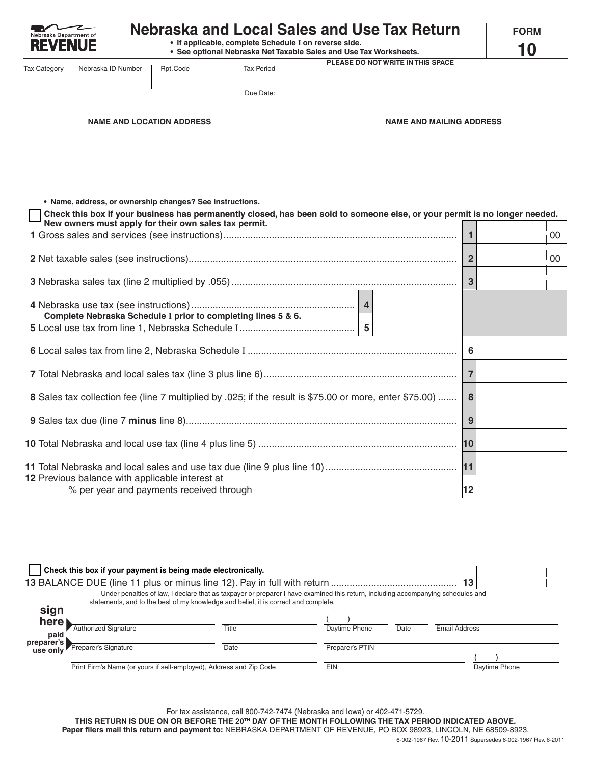| Nebraska Department of<br>=VFN                  | <b>Nebraska and Local Sales and Use Tax Return</b><br>• If applicable, complete Schedule I on reverse side.<br>• See optional Nebraska Net Taxable Sales and Use Tax Worksheets.<br>PLEASE DO NOT WRITE IN THIS SPACE |                                                                                                                   |                                                                                                                            | <b>FORM</b><br>10 |                                 |                |    |
|-------------------------------------------------|-----------------------------------------------------------------------------------------------------------------------------------------------------------------------------------------------------------------------|-------------------------------------------------------------------------------------------------------------------|----------------------------------------------------------------------------------------------------------------------------|-------------------|---------------------------------|----------------|----|
| <b>Tax Category</b>                             | Nebraska ID Number                                                                                                                                                                                                    | Rpt.Code                                                                                                          | <b>Tax Period</b>                                                                                                          |                   |                                 |                |    |
|                                                 |                                                                                                                                                                                                                       |                                                                                                                   | Due Date:                                                                                                                  |                   |                                 |                |    |
| <b>NAME AND LOCATION ADDRESS</b>                |                                                                                                                                                                                                                       |                                                                                                                   |                                                                                                                            |                   | <b>NAME AND MAILING ADDRESS</b> |                |    |
|                                                 |                                                                                                                                                                                                                       | • Name, address, or ownership changes? See instructions.<br>New owners must apply for their own sales tax permit. | Check this box if your business has permanently closed, has been sold to someone else, or your permit is no longer needed. |                   |                                 |                |    |
|                                                 |                                                                                                                                                                                                                       |                                                                                                                   |                                                                                                                            |                   |                                 | $\mathbf{1}$   | 00 |
|                                                 |                                                                                                                                                                                                                       |                                                                                                                   |                                                                                                                            |                   |                                 | $\overline{2}$ | 00 |
|                                                 |                                                                                                                                                                                                                       |                                                                                                                   |                                                                                                                            |                   |                                 | 3              |    |
|                                                 |                                                                                                                                                                                                                       |                                                                                                                   | Complete Nebraska Schedule I prior to completing lines 5 & 6.                                                              |                   |                                 |                |    |
|                                                 |                                                                                                                                                                                                                       |                                                                                                                   |                                                                                                                            |                   |                                 | 6              |    |
|                                                 |                                                                                                                                                                                                                       |                                                                                                                   |                                                                                                                            |                   |                                 | $\overline{7}$ |    |
|                                                 |                                                                                                                                                                                                                       |                                                                                                                   | 8 Sales tax collection fee (line 7 multiplied by .025; if the result is \$75.00 or more, enter \$75.00)                    |                   |                                 | 8              |    |
|                                                 |                                                                                                                                                                                                                       |                                                                                                                   |                                                                                                                            |                   |                                 | 9              |    |
|                                                 |                                                                                                                                                                                                                       |                                                                                                                   |                                                                                                                            |                   |                                 |                |    |
| 12 Previous balance with applicable interest at |                                                                                                                                                                                                                       | % per year and payments received through                                                                          |                                                                                                                            |                   |                                 | 12             |    |

| Check this box if your payment is being made electronically. |                                                                                                                                                                                                                         |       |                 |      |               |               |  |
|--------------------------------------------------------------|-------------------------------------------------------------------------------------------------------------------------------------------------------------------------------------------------------------------------|-------|-----------------|------|---------------|---------------|--|
| 13                                                           |                                                                                                                                                                                                                         |       |                 |      |               |               |  |
|                                                              | Under penalties of law, I declare that as taxpayer or preparer I have examined this return, including accompanying schedules and<br>statements, and to the best of my knowledge and belief, it is correct and complete. |       |                 |      |               |               |  |
| sign                                                         |                                                                                                                                                                                                                         |       |                 |      |               |               |  |
| here)                                                        | <b>Authorized Signature</b>                                                                                                                                                                                             | Title | Daytime Phone   | Date | Email Address |               |  |
| paid                                                         |                                                                                                                                                                                                                         |       |                 |      |               |               |  |
|                                                              | preparer's<br>use only<br>Preparer's Signature                                                                                                                                                                          | Date  | Preparer's PTIN |      |               |               |  |
|                                                              |                                                                                                                                                                                                                         |       |                 |      |               |               |  |
|                                                              | Print Firm's Name (or yours if self-employed), Address and Zip Code                                                                                                                                                     |       | <b>EIN</b>      |      |               | Daytime Phone |  |

For tax assistance, call 800-742-7474 (Nebraska and Iowa) or 402-471-5729.

**THIS RETURN IS DUE ON OR BEFORE THE 20TH DAY OF THE MONTH FOLLOWING THE TAX PERIOD INDICATED ABOVE.**

**Paper filers mail this return and payment to:** NEBRASKA DEPARTMENT OF REVENUE, PO BOX 98923, LINCOLN, NE 68509-8923. 6-002-1967 Rev. 10-2011 Supersedes 6-002-1967 Rev. 6-2011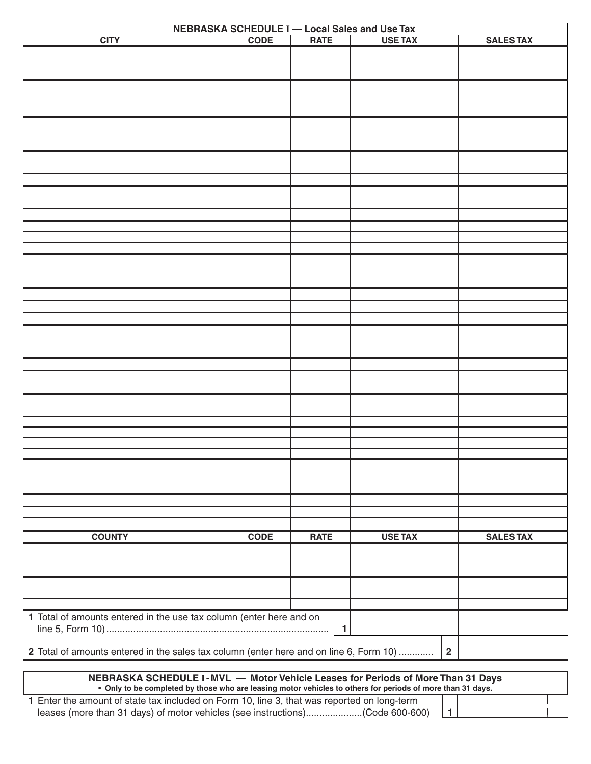| NEBRASKA SCHEDULE I - Local Sales and Use Tax                                          |             |              |                |                         |  |
|----------------------------------------------------------------------------------------|-------------|--------------|----------------|-------------------------|--|
| <b>CITY</b>                                                                            | <b>CODE</b> | <b>RATE</b>  | <b>USE TAX</b> | <b>SALES TAX</b>        |  |
|                                                                                        |             |              |                |                         |  |
|                                                                                        |             |              |                |                         |  |
|                                                                                        |             |              |                |                         |  |
|                                                                                        |             |              |                |                         |  |
|                                                                                        |             |              |                |                         |  |
|                                                                                        |             |              |                |                         |  |
|                                                                                        |             |              |                |                         |  |
|                                                                                        |             |              |                |                         |  |
|                                                                                        |             |              |                |                         |  |
|                                                                                        |             |              |                |                         |  |
|                                                                                        |             |              |                |                         |  |
|                                                                                        |             |              |                |                         |  |
|                                                                                        |             |              |                |                         |  |
|                                                                                        |             |              |                |                         |  |
|                                                                                        |             |              |                |                         |  |
|                                                                                        |             |              |                |                         |  |
|                                                                                        |             |              |                |                         |  |
|                                                                                        |             |              |                |                         |  |
|                                                                                        |             |              |                |                         |  |
|                                                                                        |             |              |                |                         |  |
|                                                                                        |             |              |                |                         |  |
|                                                                                        |             |              |                |                         |  |
|                                                                                        |             |              |                |                         |  |
|                                                                                        |             |              |                |                         |  |
|                                                                                        |             |              |                |                         |  |
|                                                                                        |             |              |                |                         |  |
|                                                                                        |             |              |                |                         |  |
|                                                                                        |             |              |                |                         |  |
|                                                                                        |             |              |                |                         |  |
|                                                                                        |             |              |                |                         |  |
|                                                                                        |             |              |                |                         |  |
|                                                                                        |             |              |                |                         |  |
|                                                                                        |             |              |                |                         |  |
|                                                                                        |             |              |                |                         |  |
|                                                                                        |             |              |                |                         |  |
|                                                                                        |             |              |                |                         |  |
|                                                                                        |             |              |                |                         |  |
| <b>COUNTY</b>                                                                          | <b>CODE</b> | <b>RATE</b>  | <b>USE TAX</b> | <b>SALES TAX</b>        |  |
|                                                                                        |             |              |                |                         |  |
|                                                                                        |             |              |                |                         |  |
|                                                                                        |             |              |                |                         |  |
|                                                                                        |             |              |                |                         |  |
|                                                                                        |             |              |                |                         |  |
| 1 Total of amounts entered in the use tax column (enter here and on                    |             |              |                |                         |  |
|                                                                                        |             | $\mathbf{1}$ |                |                         |  |
|                                                                                        |             |              |                |                         |  |
| 2 Total of amounts entered in the sales tax column (enter here and on line 6, Form 10) |             |              |                | $\overline{\mathbf{2}}$ |  |
|                                                                                        |             |              |                |                         |  |

**NEBRASKA SCHEDULE I-MVL — Motor Vehicle Leases for Periods of More Than 31 Days** Only to be completed by those who are leasing motor vehicles to others for periods of more than 31 days. •

**1** Enter the amount of state tax included on Form 10, line 3, that was reported on long-term leases (more than 31 days) of motor vehicles (see instructions).....................(Code 600-600) **1**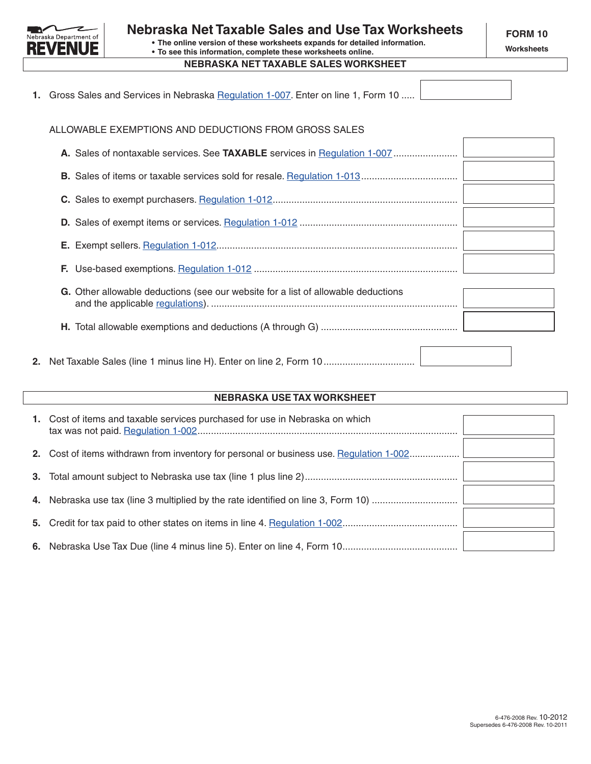

**• The online version of these worksheets expands for detailed information. • To see this information, complete these worksheets online.**

## **NEBRASKA NET TAXABLE SALES WORKSHEET**

**Worksheets**

 $\sqrt{2}$ 

|  | 1. Gross Sales and Services in Nebraska Regulation 1-007. Enter on line 1, Form 10 |  |
|--|------------------------------------------------------------------------------------|--|
|  |                                                                                    |  |

ALLOWABLE EXEMPTIONS AND DEDUCTIONS FROM GROSS SALES

| ALLOWABLE EXEMPTIONS AND DEDUCTIONS FROM GROSS SALES                              |
|-----------------------------------------------------------------------------------|
|                                                                                   |
|                                                                                   |
|                                                                                   |
|                                                                                   |
|                                                                                   |
|                                                                                   |
| G. Other allowable deductions (see our website for a list of allowable deductions |
|                                                                                   |
|                                                                                   |

# **NEBRASKA USE TAX WORKSHEET**

|    | 1. Cost of items and taxable services purchased for use in Nebraska on which             |
|----|------------------------------------------------------------------------------------------|
|    | 2. Cost of items withdrawn from inventory for personal or business use. Regulation 1-002 |
| 3. |                                                                                          |
| 4. |                                                                                          |
| 5. |                                                                                          |
|    |                                                                                          |